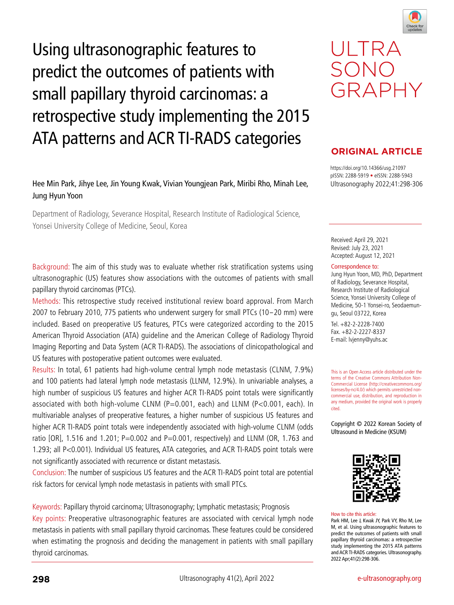





# retrospective study implementing the 2015 ATA patterns and ACR TI-RADS categories

Using ultrasonographic features to

predict the outcomes of patients with

small papillary thyroid carcinomas: a

## Hee Min Park, Jihye Lee, Jin Young Kwak, Vivian Youngjean Park, Miribi Rho, Minah Lee, Jung Hyun Yoon

Department of Radiology, Severance Hospital, Research Institute of Radiological Science, Yonsei University College of Medicine, Seoul, Korea

Background: The aim of this study was to evaluate whether risk stratification systems using ultrasonographic (US) features show associations with the outcomes of patients with small papillary thyroid carcinomas (PTCs).

Methods: This retrospective study received institutional review board approval. From March 2007 to February 2010, 775 patients who underwent surgery for small PTCs (10-20 mm) were included. Based on preoperative US features, PTCs were categorized according to the 2015 American Thyroid Association (ATA) guideline and the American College of Radiology Thyroid Imaging Reporting and Data System (ACR TI-RADS). The associations of clinicopathological and US features with postoperative patient outcomes were evaluated.

Results: In total, 61 patients had high-volume central lymph node metastasis (CLNM, 7.9%) and 100 patients had lateral lymph node metastasis (LLNM, 12.9%). In univariable analyses, a high number of suspicious US features and higher ACR TI-RADS point totals were significantly associated with both high-volume CLNM (P=0.001, each) and LLNM (P<0.001, each). In multivariable analyses of preoperative features, a higher number of suspicious US features and higher ACR TI-RADS point totals were independently associated with high-volume CLNM (odds ratio [OR], 1.516 and 1.201; P=0.002 and P=0.001, respectively) and LLNM (OR, 1.763 and 1.293; all P<0.001). Individual US features, ATA categories, and ACR TI-RADS point totals were not significantly associated with recurrence or distant metastasis.

Conclusion: The number of suspicious US features and the ACR TI-RADS point total are potential risk factors for cervical lymph node metastasis in patients with small PTCs.

Keywords: Papillary thyroid carcinoma; Ultrasonography; Lymphatic metastasis; Prognosis Key points: Preoperative ultrasonographic features are associated with cervical lymph node metastasis in patients with small papillary thyroid carcinomas. These features could be considered when estimating the prognosis and deciding the management in patients with small papillary thyroid carcinomas.

## **ORIGINAL ARTICLE**

GRAPHY

ULTRA

SONO

https://doi.org/10.14366/usg.21097 pISSN: 2288-5919 • eISSN: 2288-5943 Ultrasonography 2022;41:298-306

Received: April 29, 2021 Revised: July 23, 2021 Accepted: August 12, 2021

#### Correspondence to:

Jung Hyun Yoon, MD, PhD, Department of Radiology, Severance Hospital, Research Institute of Radiological Science, Yonsei University College of Medicine, 50-1 Yonsei-ro, Seodaemungu, Seoul 03722, Korea

Tel. +82-2-2228-7400 Fax. +82-2-2227-8337 E-mail: lvjenny@yuhs.ac

This is an Open Access article distributed under the terms of the Creative Commons Attribution Non-Commercial License (http://creativecommons.org/ licenses/by-nc/4.0/) which permits unrestricted noncommercial use, distribution, and reproduction in any medium, provided the original work is properly cited.

Copyright © 2022 Korean Society of Ultrasound in Medicine (KSUM)



#### How to cite this article:

Park HM, Lee J, Kwak JY, Park VY, Rho M, Lee M, et al. Using ultrasonographic features to predict the outcomes of patients with small papillary thyroid carcinomas: a retrospective study implementing the 2015 ATA patterns and ACR TI-RADS categories. Ultrasonography. 2022 Apr;41(2):298-306.

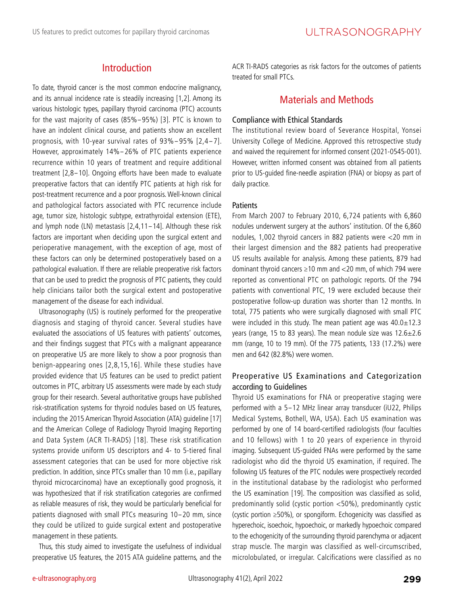## Introduction

To date, thyroid cancer is the most common endocrine malignancy, and its annual incidence rate is steadily increasing [1,2]. Among its various histologic types, papillary thyroid carcinoma (PTC) accounts for the vast majority of cases (85%-95%) [3]. PTC is known to have an indolent clinical course, and patients show an excellent prognosis, with 10-year survival rates of 93%-95% [2,4-7]. However, approximately 14%-26% of PTC patients experience recurrence within 10 years of treatment and require additional treatment [2,8-10]. Ongoing efforts have been made to evaluate preoperative factors that can identify PTC patients at high risk for post-treatment recurrence and a poor prognosis. Well-known clinical and pathological factors associated with PTC recurrence include age, tumor size, histologic subtype, extrathyroidal extension (ETE), and lymph node (LN) metastasis [2,4,11-14]. Although these risk factors are important when deciding upon the surgical extent and perioperative management, with the exception of age, most of these factors can only be determined postoperatively based on a pathological evaluation. If there are reliable preoperative risk factors that can be used to predict the prognosis of PTC patients, they could help clinicians tailor both the surgical extent and postoperative management of the disease for each individual.

Ultrasonography (US) is routinely performed for the preoperative diagnosis and staging of thyroid cancer. Several studies have evaluated the associations of US features with patients' outcomes, and their findings suggest that PTCs with a malignant appearance on preoperative US are more likely to show a poor prognosis than benign-appearing ones [2,8,15,16]. While these studies have provided evidence that US features can be used to predict patient outcomes in PTC, arbitrary US assessments were made by each study group for their research. Several authoritative groups have published risk-stratification systems for thyroid nodules based on US features, including the 2015 American Thyroid Association (ATA) guideline [17] and the American College of Radiology Thyroid Imaging Reporting and Data System (ACR TI-RADS) [18]. These risk stratification systems provide uniform US descriptors and 4- to 5-tiered final assessment categories that can be used for more objective risk prediction. In addition, since PTCs smaller than 10 mm (i.e., papillary thyroid microcarcinoma) have an exceptionally good prognosis, it was hypothesized that if risk stratification categories are confirmed as reliable measures of risk, they would be particularly beneficial for patients diagnosed with small PTCs measuring 10-20 mm, since they could be utilized to guide surgical extent and postoperative management in these patients.

Thus, this study aimed to investigate the usefulness of individual preoperative US features, the 2015 ATA guideline patterns, and the ACR TI-RADS categories as risk factors for the outcomes of patients treated for small PTCs.

## Materials and Methods

#### Compliance with Ethical Standards

The institutional review board of Severance Hospital, Yonsei University College of Medicine. Approved this retrospective study and waived the requirement for informed consent (2021-0545-001). However, written informed consent was obtained from all patients prior to US-guided fine-needle aspiration (FNA) or biopsy as part of daily practice.

#### **Patients**

From March 2007 to February 2010, 6,724 patients with 6,860 nodules underwent surgery at the authors' institution. Of the 6,860 nodules, 1,002 thyroid cancers in 882 patients were <20 mm in their largest dimension and the 882 patients had preoperative US results available for analysis. Among these patients, 879 had dominant thyroid cancers ≥10 mm and <20 mm, of which 794 were reported as conventional PTC on pathologic reports. Of the 794 patients with conventional PTC, 19 were excluded because their postoperative follow-up duration was shorter than 12 months. In total, 775 patients who were surgically diagnosed with small PTC were included in this study. The mean patient age was  $40.0 \pm 12.3$ years (range, 15 to 83 years). The mean nodule size was  $12.6 \pm 2.6$ mm (range, 10 to 19 mm). Of the 775 patients, 133 (17.2%) were men and 642 (82.8%) were women.

#### Preoperative US Examinations and Categorization according to Guidelines

Thyroid US examinations for FNA or preoperative staging were performed with a 5-12 MHz linear array transducer (iU22, Philips Medical Systems, Bothell, WA, USA). Each US examination was performed by one of 14 board-certified radiologists (four faculties and 10 fellows) with 1 to 20 years of experience in thyroid imaging. Subsequent US-guided FNAs were performed by the same radiologist who did the thyroid US examination, if required. The following US features of the PTC nodules were prospectively recorded in the institutional database by the radiologist who performed the US examination [19]. The composition was classified as solid, predominantly solid (cystic portion <50%), predominantly cystic (cystic portion ≥50%), or spongiform. Echogenicity was classified as hyperechoic, isoechoic, hypoechoic, or markedly hypoechoic compared to the echogenicity of the surrounding thyroid parenchyma or adjacent strap muscle. The margin was classified as well-circumscribed, microlobulated, or irregular. Calcifications were classified as no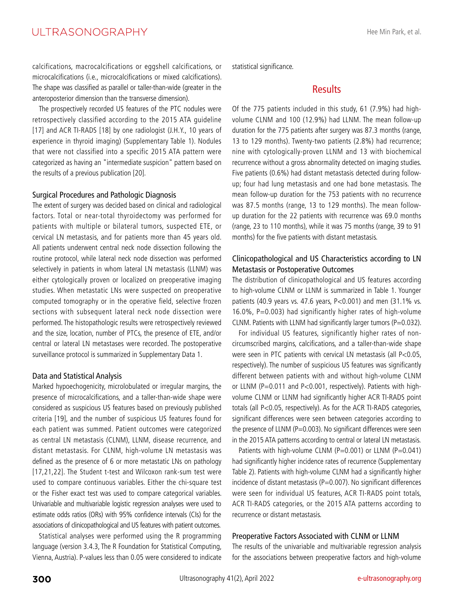calcifications, macrocalcifications or eggshell calcifications, or microcalcifications (i.e., microcalcifications or mixed calcifications). The shape was classified as parallel or taller-than-wide (greater in the anteroposterior dimension than the transverse dimension).

The prospectively recorded US features of the PTC nodules were retrospectively classified according to the 2015 ATA guideline [17] and ACR TI-RADS [18] by one radiologist (J.H.Y., 10 years of experience in thyroid imaging) (Supplementary Table 1). Nodules that were not classified into a specific 2015 ATA pattern were categorized as having an "intermediate suspicion" pattern based on the results of a previous publication [20].

#### Surgical Procedures and Pathologic Diagnosis

The extent of surgery was decided based on clinical and radiological factors. Total or near-total thyroidectomy was performed for patients with multiple or bilateral tumors, suspected ETE, or cervical LN metastasis, and for patients more than 45 years old. All patients underwent central neck node dissection following the routine protocol, while lateral neck node dissection was performed selectively in patients in whom lateral LN metastasis (LLNM) was either cytologically proven or localized on preoperative imaging studies. When metastatic LNs were suspected on preoperative computed tomography or in the operative field, selective frozen sections with subsequent lateral neck node dissection were performed. The histopathologic results were retrospectively reviewed and the size, location, number of PTCs, the presence of ETE, and/or central or lateral LN metastases were recorded. The postoperative surveillance protocol is summarized in Supplementary Data 1.

#### Data and Statistical Analysis

Marked hypoechogenicity, microlobulated or irregular margins, the presence of microcalcifications, and a taller-than-wide shape were considered as suspicious US features based on previously published criteria [19], and the number of suspicious US features found for each patient was summed. Patient outcomes were categorized as central LN metastasis (CLNM), LLNM, disease recurrence, and distant metastasis. For CLNM, high-volume LN metastasis was defined as the presence of 6 or more metastatic LNs on pathology [17,21,22]. The Student t-test and Wilcoxon rank-sum test were used to compare continuous variables. Either the chi-square test or the Fisher exact test was used to compare categorical variables. Univariable and multivariable logistic regression analyses were used to estimate odds ratios (ORs) with 95% confidence intervals (CIs) for the associations of clinicopathological and US features with patient outcomes.

Statistical analyses were performed using the R programming language (version 3.4.3, The R Foundation for Statistical Computing, Vienna, Austria). P-values less than 0.05 were considered to indicate statistical significance.

## **Results**

Of the 775 patients included in this study, 61 (7.9%) had highvolume CLNM and 100 (12.9%) had LLNM. The mean follow-up duration for the 775 patients after surgery was 87.3 months (range, 13 to 129 months). Twenty-two patients (2.8%) had recurrence; nine with cytologically-proven LLNM and 13 with biochemical recurrence without a gross abnormality detected on imaging studies. Five patients (0.6%) had distant metastasis detected during followup; four had lung metastasis and one had bone metastasis. The mean follow-up duration for the 753 patients with no recurrence was 87.5 months (range, 13 to 129 months). The mean followup duration for the 22 patients with recurrence was 69.0 months (range, 23 to 110 months), while it was 75 months (range, 39 to 91 months) for the five patients with distant metastasis.

### Clinicopathological and US Characteristics according to LN Metastasis or Postoperative Outcomes

The distribution of clinicopathological and US features according to high-volume CLNM or LLNM is summarized in Table 1. Younger patients (40.9 years vs. 47.6 years, P<0.001) and men (31.1% vs. 16.0%, P=0.003) had significantly higher rates of high-volume CLNM. Patients with LLNM had significantly larger tumors (P=0.032).

For individual US features, significantly higher rates of noncircumscribed margins, calcifications, and a taller-than-wide shape were seen in PTC patients with cervical LN metastasis (all P<0.05, respectively). The number of suspicious US features was significantly different between patients with and without high-volume CLNM or LLNM (P=0.011 and P<0.001, respectively). Patients with highvolume CLNM or LLNM had significantly higher ACR TI-RADS point totals (all P<0.05, respectively). As for the ACR TI-RADS categories, significant differences were seen between categories according to the presence of LLNM (P=0.003). No significant differences were seen in the 2015 ATA patterns according to central or lateral LN metastasis.

Patients with high-volume CLNM (P=0.001) or LLNM (P=0.041) had significantly higher incidence rates of recurrence (Supplementary Table 2). Patients with high-volume CLNM had a significantly higher incidence of distant metastasis ( $P=0.007$ ). No significant differences were seen for individual US features, ACR TI-RADS point totals, ACR TI-RADS categories, or the 2015 ATA patterns according to recurrence or distant metastasis.

#### Preoperative Factors Associated with CLNM or LLNM

The results of the univariable and multivariable regression analysis for the associations between preoperative factors and high-volume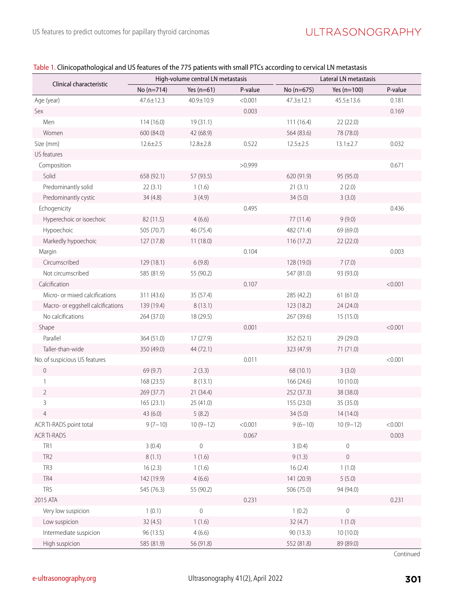| Table 1. Clinicopathological and US features of the 775 patients with small PTCs according to cervical LN metastasis |  |  |
|----------------------------------------------------------------------------------------------------------------------|--|--|
|                                                                                                                      |  |  |

| Clinical characteristic           |                | High-volume central LN metastasis |         | Lateral LN metastasis |                  |         |  |
|-----------------------------------|----------------|-----------------------------------|---------|-----------------------|------------------|---------|--|
|                                   | No (n=714)     | Yes $(n=61)$                      | P-value | No (n=675)            | Yes $(n=100)$    | P-value |  |
| Age (year)                        | 47.6±12.3      | 40.9±10.9                         | < 0.001 | $47.3 \pm 12.1$       | $45.5 \pm 13.6$  | 0.181   |  |
| Sex                               |                |                                   | 0.003   |                       |                  | 0.169   |  |
| Men                               | 114 (16.0)     | 19 (31.1)                         |         | 111(16.4)             | 22 (22.0)        |         |  |
| Women                             | 600 (84.0)     | 42 (68.9)                         |         | 564 (83.6)            | 78 (78.0)        |         |  |
| Size (mm)                         | $12.6 \pm 2.5$ | $12.8 \pm 2.8$                    | 0.522   | $12.5 \pm 2.5$        | $13.1 \pm 2.7$   | 0.032   |  |
| US features                       |                |                                   |         |                       |                  |         |  |
| Composition                       |                |                                   | >0.999  |                       |                  | 0.671   |  |
| Solid                             | 658 (92.1)     | 57 (93.5)                         |         | 620 (91.9)            | 95 (95.0)        |         |  |
| Predominantly solid               | 22(3.1)        | 1(1.6)                            |         | 21(3.1)               | 2(2.0)           |         |  |
| Predominantly cystic              | 34(4.8)        | 3(4.9)                            |         | 34(5.0)               | 3(3.0)           |         |  |
| Echogenicity                      |                |                                   | 0.495   |                       |                  | 0.436   |  |
| Hyperechoic or isoechoic          | 82 (11.5)      | 4(6.6)                            |         | 77 (11.4)             | 9(9.0)           |         |  |
| Hypoechoic                        | 505 (70.7)     | 46 (75.4)                         |         | 482 (71.4)            | 69 (69.0)        |         |  |
| Markedly hypoechoic               | 127 (17.8)     | 11(18.0)                          |         | 116 (17.2)            | 22 (22.0)        |         |  |
| Margin                            |                |                                   | 0.104   |                       |                  | 0.003   |  |
| Circumscribed                     | 129 (18.1)     | 6(9.8)                            |         | 128 (19.0)            | 7(7.0)           |         |  |
| Not circumscribed                 | 585 (81.9)     | 55 (90.2)                         |         | 547 (81.0)            | 93 (93.0)        |         |  |
| Calcification                     |                |                                   | 0.107   |                       |                  | < 0.001 |  |
| Micro- or mixed calcifications    | 311 (43.6)     | 35 (57.4)                         |         | 285 (42.2)            | 61(61.0)         |         |  |
| Macro- or eggshell calcifications | 139 (19.4)     | 8(13.1)                           |         | 123 (18.2)            | 24 (24.0)        |         |  |
| No calcifications                 | 264 (37.0)     | 18 (29.5)                         |         | 267 (39.6)            | 15 (15.0)        |         |  |
| Shape                             |                |                                   | 0.001   |                       |                  | < 0.001 |  |
| Parallel                          | 364 (51.0)     | 17 (27.9)                         |         | 352 (52.1)            | 29 (29.0)        |         |  |
| Taller-than-wide                  | 350 (49.0)     | 44 (72.1)                         |         | 323 (47.9)            | 71 (71.0)        |         |  |
| No. of suspicious US features     |                |                                   | 0.011   |                       |                  | < 0.001 |  |
| $\mathbf 0$                       | 69 (9.7)       | 2(3.3)                            |         | 68 (10.1)             | 3(3.0)           |         |  |
| 1                                 | 168 (23.5)     | 8(13.1)                           |         | 166 (24.6)            | 10 (10.0)        |         |  |
| $\overline{2}$                    | 269 (37.7)     | 21 (34.4)                         |         | 252 (37.3)            | 38 (38.0)        |         |  |
| $\mathsf{3}$                      | 165 (23.1)     | 25 (41.0)                         |         | 155 (23.0)            | 35 (35.0)        |         |  |
| 4                                 | 43 (6.0)       | 5(8.2)                            |         | 34 (5.0)              | 14 (14.0)        |         |  |
| ACR TI-RADS point total           | $9(7-10)$      | $10(9-12)$                        | < 0.001 | $9(6-10)$             | $10(9-12)$       | < 0.001 |  |
| ACR TI-RADS                       |                |                                   | 0.067   |                       |                  | 0.003   |  |
| TR1                               | 3(0.4)         | $\mathbf 0$                       |         | 3(0.4)                | $\theta$         |         |  |
| TR <sub>2</sub>                   | 8(1.1)         | 1(1.6)                            |         | 9(1.3)                | $\mathbf 0$      |         |  |
| TR3                               | 16(2.3)        | 1(1.6)                            |         | 16(2.4)               | 1(1.0)           |         |  |
| TR4                               | 142 (19.9)     | 4(6.6)                            |         | 141 (20.9)            | 5(5.0)           |         |  |
| TR5                               | 545 (76.3)     | 55 (90.2)                         |         | 506 (75.0)            | 94 (94.0)        |         |  |
| 2015 ATA                          |                |                                   | 0.231   |                       |                  | 0.231   |  |
| Very low suspicion                | 1(0.1)         | $\mathbf 0$                       |         | 1(0.2)                | $\boldsymbol{0}$ |         |  |
| Low suspicion                     | 32(4.5)        | 1(1.6)                            |         | 32(4.7)               | 1(1.0)           |         |  |
| Intermediate suspicion            | 96 (13.5)      | 4(6.6)                            |         | 90 (13.3)             | 10 (10.0)        |         |  |
| High suspicion                    | 585 (81.9)     | 56 (91.8)                         |         | 552 (81.8)            | 89 (89.0)        |         |  |

Continued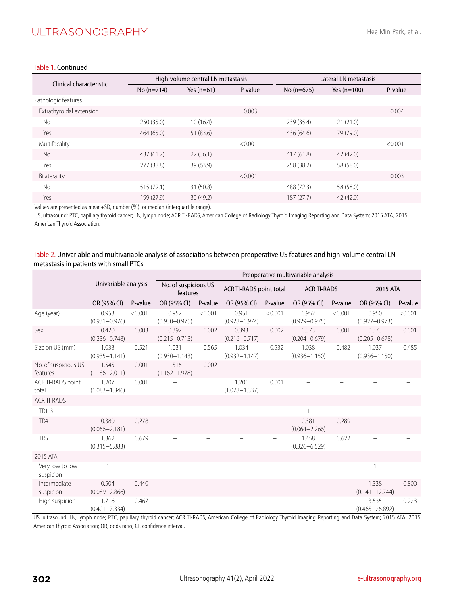## ULTRASONOGRAPHY

#### Table 1. Continued

| Clinical characteristic  |              | High-volume central LN metastasis |         |              | Lateral LN metastasis |         |  |  |
|--------------------------|--------------|-----------------------------------|---------|--------------|-----------------------|---------|--|--|
|                          | $No (n=714)$ | Yes $(n=61)$                      | P-value | No $(n=675)$ | Yes $(n=100)$         | P-value |  |  |
| Pathologic features      |              |                                   |         |              |                       |         |  |  |
| Extrathyroidal extension |              |                                   | 0.003   |              |                       | 0.004   |  |  |
| <b>No</b>                | 250 (35.0)   | 10(16.4)                          |         | 239 (35.4)   | 21(21.0)              |         |  |  |
| Yes                      | 464 (65.0)   | 51 (83.6)                         |         | 436 (64.6)   | 79 (79.0)             |         |  |  |
| Multifocality            |              |                                   | < 0.001 |              |                       | < 0.001 |  |  |
| <b>No</b>                | 437 (61.2)   | 22(36.1)                          |         | 417(61.8)    | 42(42.0)              |         |  |  |
| Yes                      | 277 (38.8)   | 39 (63.9)                         |         | 258 (38.2)   | 58 (58.0)             |         |  |  |
| Bilaterality             |              |                                   | < 0.001 |              |                       | 0.003   |  |  |
| <b>No</b>                | 515(72.1)    | 31 (50.8)                         |         | 488 (72.3)   | 58 (58.0)             |         |  |  |
| Yes                      | 199 (27.9)   | 30(49.2)                          |         | 187(27.7)    | 42 (42.0)             |         |  |  |

Values are presented as mean+SD, number (%), or median (interquartile range).

US, ultrasound; PTC, papillary thyroid cancer; LN, lymph node; ACR TI-RADS, American College of Radiology Thyroid Imaging Reporting and Data System; 2015 ATA, 2015 American Thyroid Association.

#### Table 2. Univariable and multivariable analysis of associations between preoperative US features and high-volume central LN metastasis in patients with small PTCs

|                                  |                            |         | Preoperative multivariable analysis |         |                                |         |                            |         |                             |         |
|----------------------------------|----------------------------|---------|-------------------------------------|---------|--------------------------------|---------|----------------------------|---------|-----------------------------|---------|
|                                  | Univariable analysis       |         | No. of suspicious US<br>features    |         | <b>ACR TI-RADS point total</b> |         | <b>ACR TI-RADS</b>         |         | 2015 ATA                    |         |
|                                  | OR (95% CI)                | P-value | OR (95% CI)                         | P-value | OR (95% CI)                    | P-value | OR (95% CI)                | P-value | OR (95% CI)                 | P-value |
| Age (year)                       | 0.953<br>$(0.931 - 0.976)$ | < 0.001 | 0.952<br>$(0.930 - 0.975)$          | < 0.001 | 0.951<br>$(0.928 - 0.974)$     | < 0.001 | 0.952<br>$(0.929 - 0.975)$ | < 0.001 | 0.950<br>$(0.927 - 0.973)$  | < 0.001 |
| Sex                              | 0.420<br>$(0.236 - 0.748)$ | 0.003   | 0.392<br>$(0.215 - 0.713)$          | 0.002   | 0.393<br>$(0.216 - 0.717)$     | 0.002   | 0.373<br>$(0.204 - 0.679)$ | 0.001   | 0.373<br>$(0.205 - 0.678)$  | 0.001   |
| Size on US (mm)                  | 1.033<br>$(0.935 - 1.141)$ | 0.521   | 1.031<br>$(0.930 - 1.143)$          | 0.565   | 1.034<br>$(0.932 - 1.147)$     | 0.532   | 1.038<br>$(0.936 - 1.150)$ | 0.482   | 1.037<br>$(0.936 - 1.150)$  | 0.485   |
| No. of suspicious US<br>features | 1.545<br>$(1.186 - 2.011)$ | 0.001   | 1.516<br>$(1.162 - 1.978)$          | 0.002   |                                |         |                            |         |                             |         |
| ACRTI-RADS point<br>total        | 1.207<br>$(1.083 - 1.346)$ | 0.001   |                                     |         | 1.201<br>$(1.078 - 1.337)$     | 0.001   |                            |         |                             |         |
| <b>ACRTI-RADS</b>                |                            |         |                                     |         |                                |         |                            |         |                             |         |
| TR1-3                            |                            |         |                                     |         |                                |         |                            |         |                             |         |
| TR4                              | 0.380<br>$(0.066 - 2.181)$ | 0.278   |                                     |         |                                |         | 0.381<br>$(0.064 - 2.266)$ | 0.289   |                             |         |
| TR <sub>5</sub>                  | 1.362<br>$(0.315 - 5.883)$ | 0.679   |                                     |         |                                |         | 1.458<br>$(0.326 - 6.529)$ | 0.622   |                             |         |
| 2015 ATA                         |                            |         |                                     |         |                                |         |                            |         |                             |         |
| Very low to low<br>suspicion     |                            |         |                                     |         |                                |         |                            |         |                             |         |
| Intermediate<br>suspicion        | 0.504<br>$(0.089 - 2.866)$ | 0.440   |                                     |         |                                |         |                            |         | 1.338<br>$(0.141 - 12.744)$ | 0.800   |
| High suspicion                   | 1.716<br>$(0.401 - 7.334)$ | 0.467   |                                     |         |                                |         |                            |         | 3.535<br>$(0.465 - 26.892)$ | 0.223   |

US, ultrasound; LN, lymph node; PTC, papillary thyroid cancer; ACR TI-RADS, American College of Radiology Thyroid Imaging Reporting and Data System; 2015 ATA, 2015 American Thyroid Association; OR, odds ratio; CI, confidence interval.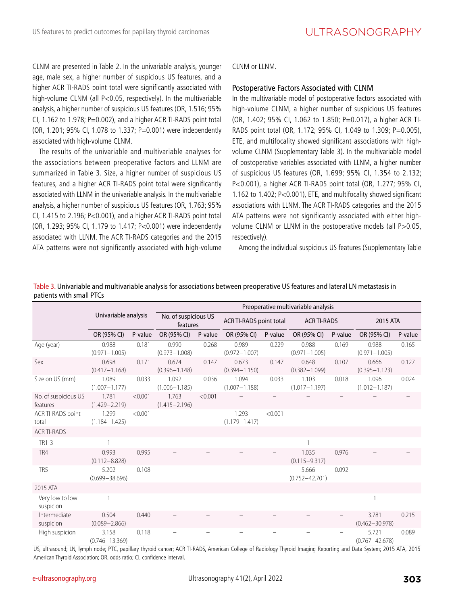CLNM are presented in Table 2. In the univariable analysis, younger age, male sex, a higher number of suspicious US features, and a higher ACR TI-RADS point total were significantly associated with high-volume CLNM (all P<0.05, respectively). In the multivariable analysis, a higher number of suspicious US features (OR, 1.516; 95% CI, 1.162 to 1.978;  $P=0.002$ ), and a higher ACR TI-RADS point total (OR, 1.201; 95% CI, 1.078 to 1.337; P=0.001) were independently associated with high-volume CLNM.

The results of the univariable and multivariable analyses for the associations between preoperative factors and LLNM are summarized in Table 3. Size, a higher number of suspicious US features, and a higher ACR TI-RADS point total were significantly associated with LLNM in the univariable analysis. In the multivariable analysis, a higher number of suspicious US features (OR, 1.763; 95% CI, 1.415 to 2.196; P<0.001), and a higher ACR TI-RADS point total (OR, 1.293; 95% CI, 1.179 to 1.417; P<0.001) were independently associated with LLNM. The ACR TI-RADS categories and the 2015 ATA patterns were not significantly associated with high-volume

CLNM or LLNM.

#### Postoperative Factors Associated with CLNM

In the multivariable model of postoperative factors associated with high-volume CLNM, a higher number of suspicious US features (OR, 1.402; 95% CI, 1.062 to 1.850; P=0.017), a higher ACR TI-RADS point total (OR, 1.172; 95% CI, 1.049 to 1.309; P=0.005), ETE, and multifocality showed significant associations with highvolume CLNM (Supplementary Table 3). In the multivariable model of postoperative variables associated with LLNM, a higher number of suspicious US features (OR, 1.699; 95% CI, 1.354 to 2.132; P<0.001), a higher ACR TI-RADS point total (OR, 1.277; 95% CI, 1.162 to 1.402; P<0.001), ETE, and multifocality showed significant associations with LLNM. The ACR TI-RADS categories and the 2015 ATA patterns were not significantly associated with either highvolume CLNM or LLNM in the postoperative models (all P>0.05, respectively).

Among the individual suspicious US features (Supplementary Table

|                                  |                             |         |                                  |         | Preoperative multivariable analysis |         |                             |         |                             |         |
|----------------------------------|-----------------------------|---------|----------------------------------|---------|-------------------------------------|---------|-----------------------------|---------|-----------------------------|---------|
|                                  | Univariable analysis        |         | No. of suspicious US<br>features |         | <b>ACR TI-RADS point total</b>      |         | <b>ACR TI-RADS</b>          |         | 2015 ATA                    |         |
|                                  | OR (95% CI)                 | P-value | OR (95% CI)                      | P-value | OR (95% CI)                         | P-value | OR (95% CI)                 | P-value | OR (95% CI)                 | P-value |
| Age (year)                       | 0.988<br>$(0.971 - 1.005)$  | 0.181   | 0.990<br>$(0.973 - 1.008)$       | 0.268   | 0.989<br>$(0.972 - 1.007)$          | 0.229   | 0.988<br>$(0.971 - 1.005)$  | 0.169   | 0.988<br>$(0.971 - 1.005)$  | 0.165   |
| Sex                              | 0.698<br>$(0.417 - 1.168)$  | 0.171   | 0.674<br>$(0.396 - 1.148)$       | 0.147   | 0.673<br>$(0.394 - 1.150)$          | 0.147   | 0.648<br>$(0.382 - 1.099)$  | 0.107   | 0.666<br>$(0.395 - 1.123)$  | 0.127   |
| Size on US (mm)                  | 1.089<br>$(1.007 - 1.177)$  | 0.033   | 1.092<br>$(1.006 - 1.185)$       | 0.036   | 1.094<br>$(1.007 - 1.188)$          | 0.033   | 1.103<br>$(1.017 - 1.197)$  | 0.018   | 1.096<br>$(1.012 - 1.187)$  | 0.024   |
| No. of suspicious US<br>features | 1.781<br>$(1.429 - 2.219)$  | < 0.001 | 1.763<br>$(1.415 - 2.196)$       | < 0.001 |                                     |         |                             |         |                             |         |
| ACRTI-RADS point<br>total        | 1.299<br>$(1.184 - 1.425)$  | < 0.001 |                                  |         | 1.293<br>$(1.179 - 1.417)$          | < 0.001 |                             |         |                             |         |
| ACR TI-RADS                      |                             |         |                                  |         |                                     |         |                             |         |                             |         |
| TR1-3                            |                             |         |                                  |         |                                     |         |                             |         |                             |         |
| TR4                              | 0.993<br>$(0.112 - 8.828)$  | 0.995   |                                  |         |                                     |         | 1.035<br>$(0.115 - 9.317)$  | 0.976   |                             |         |
| TR <sub>5</sub>                  | 5.202<br>$(0.699 - 38.696)$ | 0.108   |                                  |         |                                     |         | 5.666<br>$(0.752 - 42.701)$ | 0.092   |                             |         |
| 2015 ATA                         |                             |         |                                  |         |                                     |         |                             |         |                             |         |
| Very low to low<br>suspicion     |                             |         |                                  |         |                                     |         |                             |         |                             |         |
| Intermediate<br>suspicion        | 0.504<br>$(0.089 - 2.866)$  | 0.440   |                                  |         |                                     |         |                             |         | 3.781<br>$(0.462 - 30.978)$ | 0.215   |
| High suspicion                   | 3.158<br>$(0.746 - 13.369)$ | 0.118   |                                  |         |                                     |         |                             |         | 5.721<br>$(0.767 - 42.678)$ | 0.089   |

Table 3. Univariable and multivariable analysis for associations between preoperative US features and lateral LN metastasis in patients with small PTCs

US, ultrasound; LN, lymph node; PTC, papillary thyroid cancer; ACR TI-RADS, American College of Radiology Thyroid Imaging Reporting and Data System; 2015 ATA, 2015 American Thyroid Association; OR, odds ratio; CI, confidence interval.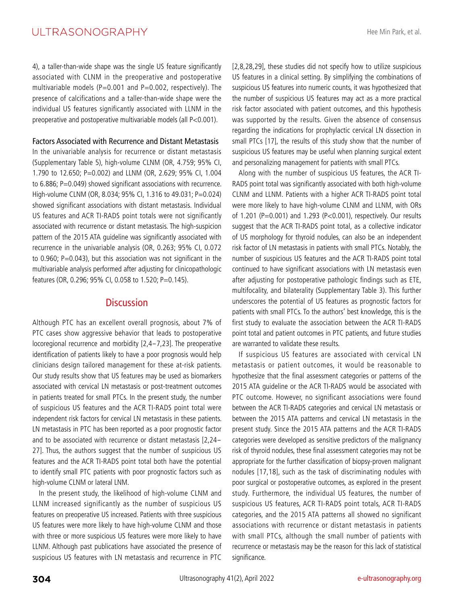## ULTRASONOGRAPHY

4), a taller-than-wide shape was the single US feature significantly associated with CLNM in the preoperative and postoperative multivariable models ( $P=0.001$  and  $P=0.002$ , respectively). The presence of calcifications and a taller-than-wide shape were the individual US features significantly associated with LLNM in the preoperative and postoperative multivariable models (all P<0.001).

#### Factors Associated with Recurrence and Distant Metastasis

In the univariable analysis for recurrence or distant metastasis (Supplementary Table 5), high-volume CLNM (OR, 4.759; 95% CI, 1.790 to 12.650; P=0.002) and LLNM (OR, 2.629; 95% CI, 1.004 to 6.886; P=0.049) showed significant associations with recurrence. High-volume CLNM (OR, 8.034; 95% CI, 1.316 to 49.031; P=0.024) showed significant associations with distant metastasis. Individual US features and ACR TI-RADS point totals were not significantly associated with recurrence or distant metastasis. The high-suspicion pattern of the 2015 ATA guideline was significantly associated with recurrence in the univariable analysis (OR, 0.263; 95% CI, 0.072 to 0.960; P=0.043), but this association was not significant in the multivariable analysis performed after adjusting for clinicopathologic features (OR, 0.296; 95% CI, 0.058 to 1.520; P=0.145).

## **Discussion**

Although PTC has an excellent overall prognosis, about 7% of PTC cases show aggressive behavior that leads to postoperative locoregional recurrence and morbidity [2,4-7,23]. The preoperative identification of patients likely to have a poor prognosis would help clinicians design tailored management for these at-risk patients. Our study results show that US features may be used as biomarkers associated with cervical LN metastasis or post-treatment outcomes in patients treated for small PTCs. In the present study, the number of suspicious US features and the ACR TI-RADS point total were independent risk factors for cervical LN metastasis in these patients. LN metastasis in PTC has been reported as a poor prognostic factor and to be associated with recurrence or distant metastasis [2,24- 27]. Thus, the authors suggest that the number of suspicious US features and the ACR TI-RADS point total both have the potential to identify small PTC patients with poor prognostic factors such as high-volume CLNM or lateral LNM.

In the present study, the likelihood of high-volume CLNM and LLNM increased significantly as the number of suspicious US features on preoperative US increased. Patients with three suspicious US features were more likely to have high-volume CLNM and those with three or more suspicious US features were more likely to have LLNM. Although past publications have associated the presence of suspicious US features with LN metastasis and recurrence in PTC

[2,8,28,29], these studies did not specify how to utilize suspicious US features in a clinical setting. By simplifying the combinations of suspicious US features into numeric counts, it was hypothesized that the number of suspicious US features may act as a more practical risk factor associated with patient outcomes, and this hypothesis was supported by the results. Given the absence of consensus regarding the indications for prophylactic cervical LN dissection in small PTCs [17], the results of this study show that the number of suspicious US features may be useful when planning surgical extent and personalizing management for patients with small PTCs.

Along with the number of suspicious US features, the ACR TI-RADS point total was significantly associated with both high-volume CLNM and LLNM. Patients with a higher ACR TI-RADS point total were more likely to have high-volume CLNM and LLNM, with ORs of 1.201 (P=0.001) and 1.293 (P<0.001), respectively. Our results suggest that the ACR TI-RADS point total, as a collective indicator of US morphology for thyroid nodules, can also be an independent risk factor of LN metastasis in patients with small PTCs. Notably, the number of suspicious US features and the ACR TI-RADS point total continued to have significant associations with LN metastasis even after adjusting for postoperative pathologic findings such as ETE, multifocality, and bilaterality (Supplementary Table 3). This further underscores the potential of US features as prognostic factors for patients with small PTCs. To the authors' best knowledge, this is the first study to evaluate the association between the ACR TI-RADS point total and patient outcomes in PTC patients, and future studies are warranted to validate these results.

If suspicious US features are associated with cervical LN metastasis or patient outcomes, it would be reasonable to hypothesize that the final assessment categories or patterns of the 2015 ATA guideline or the ACR TI-RADS would be associated with PTC outcome. However, no significant associations were found between the ACR TI-RADS categories and cervical LN metastasis or between the 2015 ATA patterns and cervical LN metastasis in the present study. Since the 2015 ATA patterns and the ACR TI-RADS categories were developed as sensitive predictors of the malignancy risk of thyroid nodules, these final assessment categories may not be appropriate for the further classification of biopsy-proven malignant nodules [17,18], such as the task of discriminating nodules with poor surgical or postoperative outcomes, as explored in the present study. Furthermore, the individual US features, the number of suspicious US features, ACR TI-RADS point totals, ACR TI-RADS categories, and the 2015 ATA patterns all showed no significant associations with recurrence or distant metastasis in patients with small PTCs, although the small number of patients with recurrence or metastasis may be the reason for this lack of statistical significance.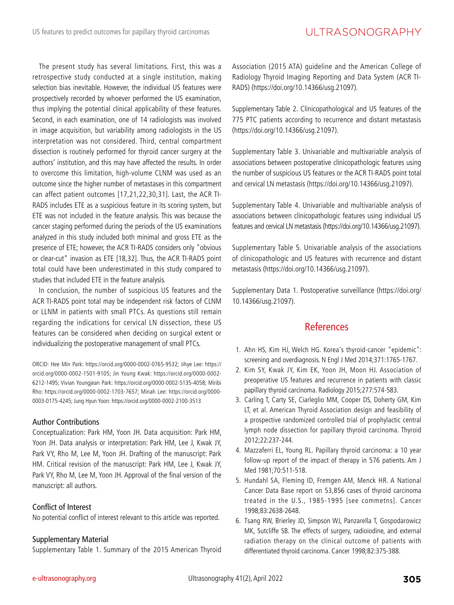The present study has several limitations. First, this was a retrospective study conducted at a single institution, making selection bias inevitable. However, the individual US features were prospectively recorded by whoever performed the US examination, thus implying the potential clinical applicability of these features. Second, in each examination, one of 14 radiologists was involved in image acquisition, but variability among radiologists in the US interpretation was not considered. Third, central compartment dissection is routinely performed for thyroid cancer surgery at the authors' institution, and this may have affected the results. In order to overcome this limitation, high-volume CLNM was used as an outcome since the higher number of metastases in this compartment can affect patient outcomes [17,21,22,30,31]. Last, the ACR TI-RADS includes ETE as a suspicious feature in its scoring system, but ETE was not included in the feature analysis. This was because the cancer staging performed during the periods of the US examinations analyzed in this study included both minimal and gross ETE as the presence of ETE; however, the ACR TI-RADS considers only "obvious or clear-cut" invasion as ETE [18,32]. Thus, the ACR TI-RADS point total could have been underestimated in this study compared to studies that included ETE in the feature analysis.

In conclusion, the number of suspicious US features and the ACR TI-RADS point total may be independent risk factors of CLNM or LLNM in patients with small PTCs. As questions still remain regarding the indications for cervical LN dissection, these US features can be considered when deciding on surgical extent or individualizing the postoperative management of small PTCs.

ORCID: Hee Min Park: https://orcid.org/0000-0002-0765-9532; Jihye Lee: https:// orcid.org/0000-0002-1501-9105; Jin Young Kwak: https://orcid.org/0000-0002- 6212-1495; Vivian Youngjean Park: https://orcid.org/0000-0002-5135-4058; Miribi Rho: https://orcid.org/0000-0002-1703-7657; Minah Lee: https://orcid.org/0000- 0003-0175-4245; Jung Hyun Yoon: https://orcid.org/0000-0002-2100-3513

#### Author Contributions

Conceptualization: Park HM, Yoon JH. Data acquisition: Park HM, Yoon JH. Data analysis or interpretation: Park HM, Lee J, Kwak JY, Park VY, Rho M, Lee M, Yoon JH. Drafting of the manuscript: Park HM. Critical revision of the manuscript: Park HM, Lee J, Kwak JY, Park VY, Rho M, Lee M, Yoon JH. Approval of the final version of the manuscript: all authors.

#### Conflict of Interest

No potential conflict of interest relevant to this article was reported.

#### Supplementary Material

Supplementary Table 1. Summary of the 2015 American Thyroid

Association (2015 ATA) guideline and the American College of Radiology Thyroid Imaging Reporting and Data System (ACR TI-RADS) (https://doi.org/10.14366/usg.21097).

Supplementary Table 2. Clinicopathological and US features of the 775 PTC patients according to recurrence and distant metastasis (https://doi.org/10.14366/usg.21097).

Supplementary Table 3. Univariable and multivariable analysis of associations between postoperative clinicopathologic features using the number of suspicious US features or the ACR TI-RADS point total and cervical LN metastasis (https://doi.org/10.14366/usg.21097).

Supplementary Table 4. Univariable and multivariable analysis of associations between clinicopathologic features using individual US features and cervical LN metastasis (https://doi.org/10.14366/usg.21097).

Supplementary Table 5. Univariable analysis of the associations of clinicopathologic and US features with recurrence and distant metastasis (https://doi.org/10.14366/usg.21097).

Supplementary Data 1. Postoperative surveillance (https://doi.org/ 10.14366/usg.21097).

## References

- 1. Ahn HS, Kim HJ, Welch HG. Korea's thyroid-cancer "epidemic": screening and overdiagnosis. N Engl J Med 2014;371:1765-1767.
- 2. Kim SY, Kwak JY, Kim EK, Yoon JH, Moon HJ. Association of preoperative US features and recurrence in patients with classic papillary thyroid carcinoma. Radiology 2015;277:574-583.
- 3. Carling T, Carty SE, Ciarleglio MM, Cooper DS, Doherty GM, Kim LT, et al. American Thyroid Association design and feasibility of a prospective randomized controlled trial of prophylactic central lymph node dissection for papillary thyroid carcinoma. Thyroid 2012;22:237-244.
- 4. Mazzaferri EL, Young RL. Papillary thyroid carcinoma: a 10 year follow-up report of the impact of therapy in 576 patients. Am J Med 1981;70:511-518.
- 5. Hundahl SA, Fleming ID, Fremgen AM, Menck HR. A National Cancer Data Base report on 53,856 cases of thyroid carcinoma treated in the U.S., 1985-1995 [see commetns]. Cancer 1998;83:2638-2648.
- 6. Tsang RW, Brierley JD, Simpson WJ, Panzarella T, Gospodarowicz MK, Sutcliffe SB. The effects of surgery, radioiodine, and external radiation therapy on the clinical outcome of patients with differentiated thyroid carcinoma. Cancer 1998;82:375-388.